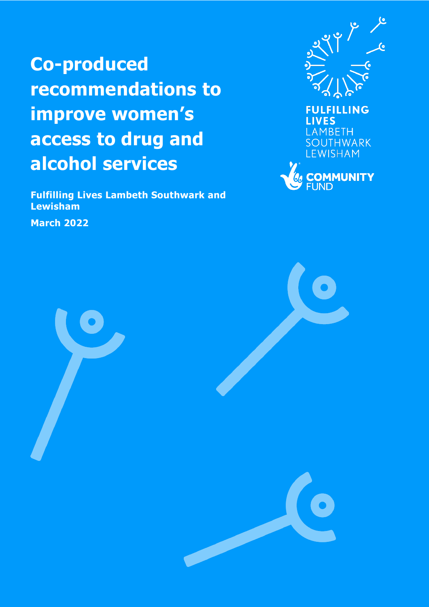**Co-produced recommendations to improve women's access to drug and alcohol services**

**Fulfilling Lives Lambeth Southwark and Lewisham**

**March 2022**



**LIVES** LAMBETH **SOUTHWARK LEWISHAM** 



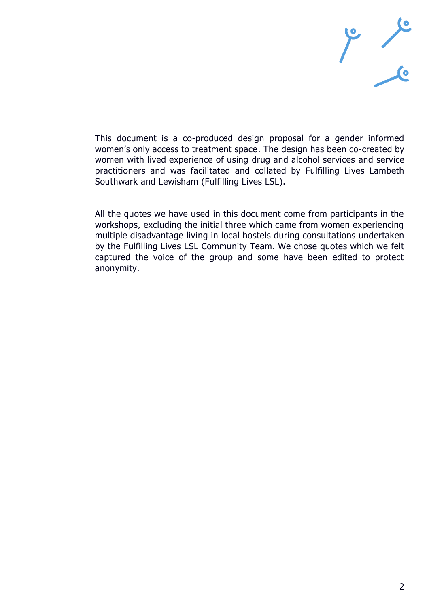

This document is a co-produced design proposal for a gender informed women's only access to treatment space. The design has been co-created by women with lived experience of using drug and alcohol services and service practitioners and was facilitated and collated by Fulfilling Lives Lambeth Southwark and Lewisham (Fulfilling Lives LSL).

All the quotes we have used in this document come from participants in the workshops, excluding the initial three which came from women experiencing multiple disadvantage living in local hostels during consultations undertaken by the Fulfilling Lives LSL Community Team. We chose quotes which we felt captured the voice of the group and some have been edited to protect anonymity.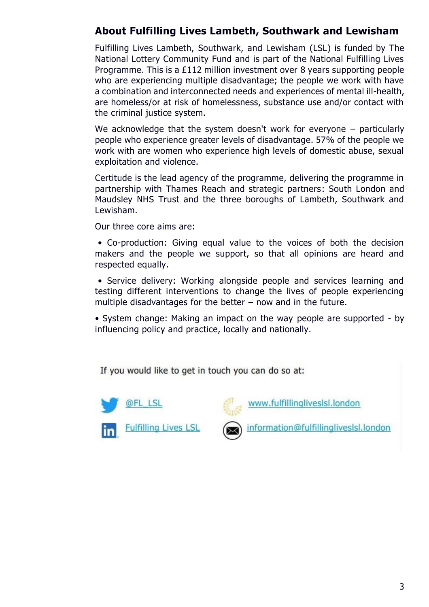# **About Fulfilling Lives Lambeth, Southwark and Lewisham**

Fulfilling Lives Lambeth, Southwark, and Lewisham (LSL) is funded by The National Lottery Community Fund and is part of the National Fulfilling Lives Programme. This is a £112 million investment over 8 years supporting people who are experiencing multiple disadvantage; the people we work with have a combination and interconnected needs and experiences of mental ill-health, are homeless/or at risk of homelessness, substance use and/or contact with the criminal justice system.

We acknowledge that the system doesn't work for everyone – particularly people who experience greater levels of disadvantage. 57% of the people we work with are women who experience high levels of domestic abuse, sexual exploitation and violence.

Certitude is the lead agency of the programme, delivering the programme in partnership with Thames Reach and strategic partners: South London and Maudsley NHS Trust and the three boroughs of Lambeth, Southwark and Lewisham.

Our three core aims are:

• Co-production: Giving equal value to the voices of both the decision makers and the people we support, so that all opinions are heard and respected equally.

• Service delivery: Working alongside people and services learning and testing different interventions to change the lives of people experiencing multiple disadvantages for the better  $-$  now and in the future.

• System change: Making an impact on the way people are supported - by influencing policy and practice, locally and nationally.

If you would like to get in touch you can do so at:





www.fulfillinglivesIsI.london

information@fulfillinglivesIsI.london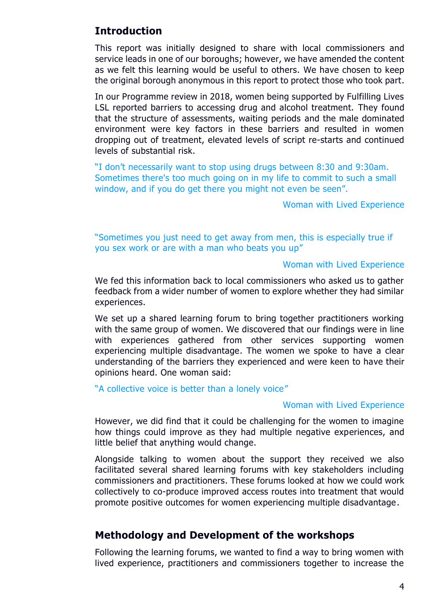# **Introduction**

This report was initially designed to share with local commissioners and service leads in one of our boroughs; however, we have amended the content as we felt this learning would be useful to others. We have chosen to keep the original borough anonymous in this report to protect those who took part.

In our Programme review in 2018, women being supported by Fulfilling Lives LSL reported barriers to accessing drug and alcohol treatment. They found that the structure of assessments, waiting periods and the male dominated environment were key factors in these barriers and resulted in women dropping out of treatment, elevated levels of script re-starts and continued levels of substantial risk.

"I don't necessarily want to stop using drugs between 8:30 and 9:30am. Sometimes there's too much going on in my life to commit to such a small window, and if you do get there you might not even be seen".

Woman with Lived Experience

"Sometimes you just need to get away from men, this is especially true if you sex work or are with a man who beats you up"

### Woman with Lived Experience

We fed this information back to local commissioners who asked us to gather feedback from a wider number of women to explore whether they had similar experiences.

We set up a shared learning forum to bring together practitioners working with the same group of women. We discovered that our findings were in line with experiences gathered from other services supporting women experiencing multiple disadvantage. The women we spoke to have a clear understanding of the barriers they experienced and were keen to have their opinions heard. One woman said:

"A collective voice is better than a lonely voice"

#### Woman with Lived Experience

However, we did find that it could be challenging for the women to imagine how things could improve as they had multiple negative experiences, and little belief that anything would change.

Alongside talking to women about the support they received we also facilitated several shared learning forums with key stakeholders including commissioners and practitioners. These forums looked at how we could work collectively to co-produce improved access routes into treatment that would promote positive outcomes for women experiencing multiple disadvantage.

### **Methodology and Development of the workshops**

Following the learning forums, we wanted to find a way to bring women with lived experience, practitioners and commissioners together to increase the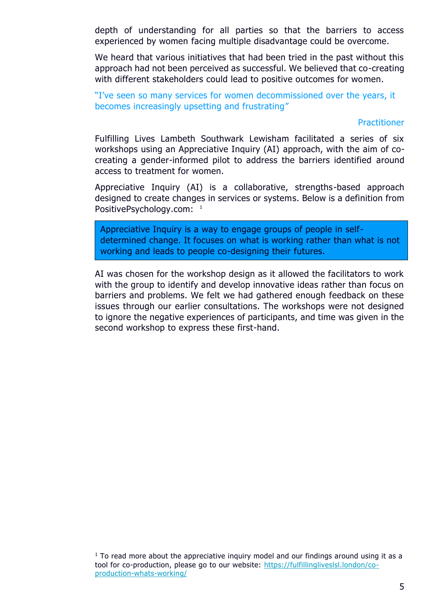depth of understanding for all parties so that the barriers to access experienced by women facing multiple disadvantage could be overcome.

We heard that various initiatives that had been tried in the past without this approach had not been perceived as successful. We believed that co-creating with different stakeholders could lead to positive outcomes for women.

"I've seen so many services for women decommissioned over the years, it becomes increasingly upsetting and frustrating"

#### **Practitioner**

Fulfilling Lives Lambeth Southwark Lewisham facilitated a series of six workshops using an Appreciative Inquiry (AI) approach, with the aim of cocreating a gender-informed pilot to address the barriers identified around access to treatment for women.

Appreciative Inquiry (AI) is a collaborative, strengths-based approach designed to create changes in services or systems. Below is a definition from PositivePsychology.com: <sup>1</sup>

Appreciative Inquiry is a way to engage groups of people in selfdetermined change. It focuses on what is working rather than what is not working and leads to people co-designing their futures.

AI was chosen for the workshop design as it allowed the facilitators to work with the group to identify and develop innovative ideas rather than focus on barriers and problems. We felt we had gathered enough feedback on these issues through our earlier consultations. The workshops were not designed to ignore the negative experiences of participants, and time was given in the second workshop to express these first-hand.

 $<sup>1</sup>$  To read more about the appreciative inquiry model and our findings around using it as a</sup> tool for co-production, please go to our website: [https://fulfillingliveslsl.london/co](https://fulfillingliveslsl.london/co-production-whats-working/)[production-whats-working/](https://fulfillingliveslsl.london/co-production-whats-working/)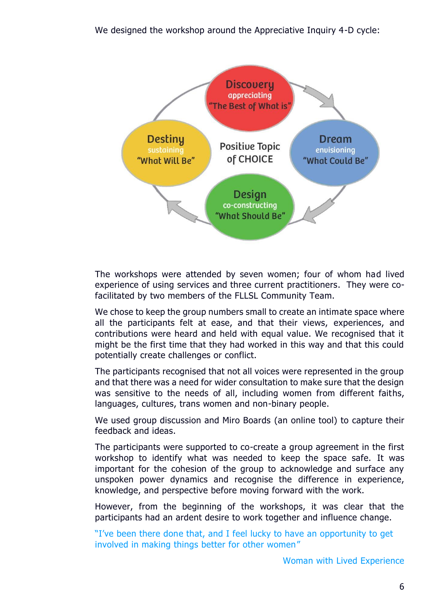

The workshops were attended by seven women; four of whom had lived experience of using services and three current practitioners. They were cofacilitated by two members of the FLLSL Community Team.

We chose to keep the group numbers small to create an intimate space where all the participants felt at ease, and that their views, experiences, and contributions were heard and held with equal value. We recognised that it might be the first time that they had worked in this way and that this could potentially create challenges or conflict.

The participants recognised that not all voices were represented in the group and that there was a need for wider consultation to make sure that the design was sensitive to the needs of all, including women from different faiths, languages, cultures, trans women and non-binary people.

We used group discussion and Miro Boards (an online tool) to capture their feedback and ideas.

The participants were supported to co-create a group agreement in the first workshop to identify what was needed to keep the space safe. It was important for the cohesion of the group to acknowledge and surface any unspoken power dynamics and recognise the difference in experience, knowledge, and perspective before moving forward with the work.

However, from the beginning of the workshops, it was clear that the participants had an ardent desire to work together and influence change.

"I've been there done that, and I feel lucky to have an opportunity to get involved in making things better for other women"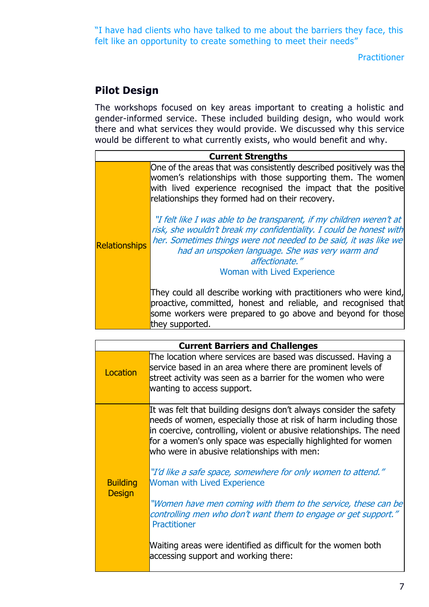"I have had clients who have talked to me about the barriers they face, this felt like an opportunity to create something to meet their needs"

**Practitioner** 

# **Pilot Design**

The workshops focused on key areas important to creating a holistic and gender-informed service. These included building design, who would work there and what services they would provide. We discussed why this service would be different to what currently exists, who would benefit and why.

|                      | <b>Current Strengths</b>                                                                                                                                                                                                                                                                                                   |
|----------------------|----------------------------------------------------------------------------------------------------------------------------------------------------------------------------------------------------------------------------------------------------------------------------------------------------------------------------|
|                      | One of the areas that was consistently described positively was the<br>women's relationships with those supporting them. The women<br>with lived experience recognised the impact that the positive<br>relationships they formed had on their recovery.                                                                    |
| <b>Relationships</b> | "I felt like I was able to be transparent, if my children weren't at<br>risk, she wouldn't break my confidentiality. I could be honest with<br>her. Sometimes things were not needed to be said, it was like we<br>had an unspoken language. She was very warm and<br>affectionate."<br><b>Woman with Lived Experience</b> |
|                      | They could all describe working with practitioners who were kind,<br>proactive, committed, honest and reliable, and recognised that<br>some workers were prepared to go above and beyond for those<br>they supported.                                                                                                      |

|                                  | <b>Current Barriers and Challenges</b>                                                                                                                                                                                                                                                                                                                                                                                                                                                                                                                                                  |
|----------------------------------|-----------------------------------------------------------------------------------------------------------------------------------------------------------------------------------------------------------------------------------------------------------------------------------------------------------------------------------------------------------------------------------------------------------------------------------------------------------------------------------------------------------------------------------------------------------------------------------------|
| Location                         | The location where services are based was discussed. Having a<br>service based in an area where there are prominent levels of<br>street activity was seen as a barrier for the women who were<br>wanting to access support.                                                                                                                                                                                                                                                                                                                                                             |
| <b>Building</b><br><b>Design</b> | It was felt that building designs don't always consider the safety<br>needs of women, especially those at risk of harm including those<br>in coercive, controlling, violent or abusive relationships. The need<br>for a women's only space was especially highlighted for women<br>who were in abusive relationships with men:<br>"I'd like a safe space, somewhere for only women to attend."<br><b>Woman with Lived Experience</b><br>"Women have men coming with them to the service, these can be<br>controlling men who don't want them to engage or get support."<br>Practitioner |
|                                  | Waiting areas were identified as difficult for the women both<br>accessing support and working there:                                                                                                                                                                                                                                                                                                                                                                                                                                                                                   |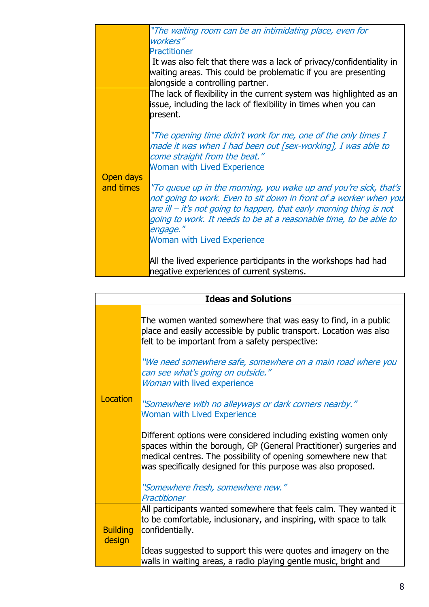|                        | "The waiting room can be an intimidating place, even for<br>workers"                                                                                                                                                                                                                                                                |
|------------------------|-------------------------------------------------------------------------------------------------------------------------------------------------------------------------------------------------------------------------------------------------------------------------------------------------------------------------------------|
|                        | <b>Practitioner</b>                                                                                                                                                                                                                                                                                                                 |
|                        | It was also felt that there was a lack of privacy/confidentiality in<br>waiting areas. This could be problematic if you are presenting<br>alongside a controlling partner.                                                                                                                                                          |
|                        | The lack of flexibility in the current system was highlighted as an<br>issue, including the lack of flexibility in times when you can<br>present.                                                                                                                                                                                   |
| Open days<br>and times | "The opening time didn't work for me, one of the only times I<br>made it was when I had been out [sex-working], I was able to<br>come straight from the beat."<br><b>Woman with Lived Experience</b>                                                                                                                                |
|                        | "To queue up in the morning, you wake up and you're sick, that's<br>not going to work. Even to sit down in front of a worker when you<br>are ill – it's not going to happen, that early morning thing is not<br>going to work. It needs to be at a reasonable time, to be able to<br>engage."<br><b>Woman with Lived Experience</b> |
|                        | All the lived experience participants in the workshops had had<br>negative experiences of current systems.                                                                                                                                                                                                                          |

|                           | <b>Ideas and Solutions</b>                                                                                                                                                                                                                                                                                                                                                                                               |
|---------------------------|--------------------------------------------------------------------------------------------------------------------------------------------------------------------------------------------------------------------------------------------------------------------------------------------------------------------------------------------------------------------------------------------------------------------------|
| Location                  | The women wanted somewhere that was easy to find, in a public<br>place and easily accessible by public transport. Location was also<br>felt to be important from a safety perspective:<br>"We need somewhere safe, somewhere on a main road where you<br>can see what's going on outside."<br>Woman with lived experience<br>"Somewhere with no alleyways or dark corners nearby."<br><b>Woman with Lived Experience</b> |
|                           | Different options were considered including existing women only<br>spaces within the borough, GP (General Practitioner) surgeries and<br>medical centres. The possibility of opening somewhere new that<br>was specifically designed for this purpose was also proposed.                                                                                                                                                 |
|                           | "Somewhere fresh, somewhere new."<br>Practitioner                                                                                                                                                                                                                                                                                                                                                                        |
| <b>Building</b><br>design | All participants wanted somewhere that feels calm. They wanted it<br>to be comfortable, inclusionary, and inspiring, with space to talk<br>confidentially.                                                                                                                                                                                                                                                               |
|                           | Ideas suggested to support this were quotes and imagery on the<br>walls in waiting areas, a radio playing gentle music, bright and                                                                                                                                                                                                                                                                                       |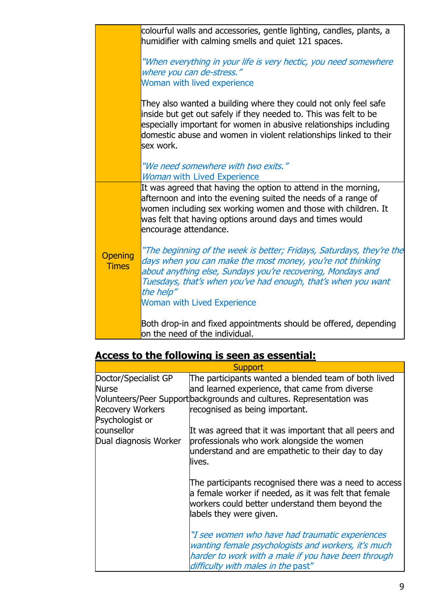|                                | colourful walls and accessories, gentle lighting, candles, plants, a<br>humidifier with calming smells and quiet 121 spaces.                                                                                                                                                                                           |
|--------------------------------|------------------------------------------------------------------------------------------------------------------------------------------------------------------------------------------------------------------------------------------------------------------------------------------------------------------------|
|                                | "When everything in your life is very hectic, you need somewhere<br>where you can de-stress."<br>Woman with lived experience                                                                                                                                                                                           |
|                                | They also wanted a building where they could not only feel safe<br>inside but get out safely if they needed to. This was felt to be<br>especially important for women in abusive relationships including<br>domestic abuse and women in violent relationships linked to their<br>sex work.                             |
|                                | "We need somewhere with two exits."<br><b>Woman with Lived Experience</b>                                                                                                                                                                                                                                              |
|                                | It was agreed that having the option to attend in the morning,<br>afternoon and into the evening suited the needs of a range of<br>women including sex working women and those with children. It<br>was felt that having options around days and times would<br>encourage attendance.                                  |
| <b>Opening</b><br><b>Times</b> | "The beginning of the week is better; Fridays, Saturdays, they're the<br>days when you can make the most money, you're not thinking<br>about anything else, Sundays you're recovering, Mondays and<br>Tuesdays, that's when you've had enough, that's when you want<br>the help"<br><b>Woman with Lived Experience</b> |
|                                | Both drop-in and fixed appointments should be offered, depending<br>on the need of the individual.                                                                                                                                                                                                                     |

| Access to the following is seen as essential: |
|-----------------------------------------------|
|-----------------------------------------------|

|                                     | <b>Support</b>                                                                                                                                                                                      |
|-------------------------------------|-----------------------------------------------------------------------------------------------------------------------------------------------------------------------------------------------------|
| Doctor/Specialist GP                | The participants wanted a blended team of both lived                                                                                                                                                |
| <b>Nurse</b>                        | and learned experience, that came from diverse                                                                                                                                                      |
|                                     | Volunteers/Peer Support backgrounds and cultures. Representation was                                                                                                                                |
| <b>Recovery Workers</b>             | recognised as being important.                                                                                                                                                                      |
| Psychologist or                     |                                                                                                                                                                                                     |
| counsellor<br>Dual diagnosis Worker | It was agreed that it was important that all peers and<br>professionals who work alongside the women<br>understand and are empathetic to their day to day<br>lives.                                 |
|                                     | The participants recognised there was a need to access<br>a female worker if needed, as it was felt that female<br>workers could better understand them beyond the<br>labels they were given.       |
|                                     | "I see women who have had traumatic experiences<br>wanting female psychologists and workers, it's much<br>harder to work with a male if you have been through<br>difficulty with males in the past" |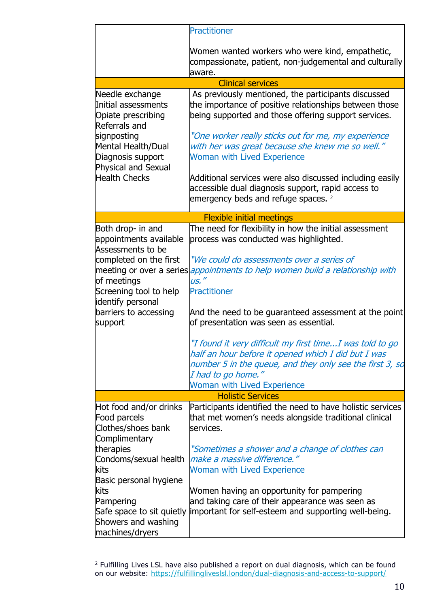|                                                                                                                                                                                                                          | <b>Practitioner</b>                                                                                                                                                                                                                                                                                                                                                                                                                                                                                                                                                                 |
|--------------------------------------------------------------------------------------------------------------------------------------------------------------------------------------------------------------------------|-------------------------------------------------------------------------------------------------------------------------------------------------------------------------------------------------------------------------------------------------------------------------------------------------------------------------------------------------------------------------------------------------------------------------------------------------------------------------------------------------------------------------------------------------------------------------------------|
|                                                                                                                                                                                                                          | Women wanted workers who were kind, empathetic,<br>compassionate, patient, non-judgemental and culturally<br>aware.                                                                                                                                                                                                                                                                                                                                                                                                                                                                 |
|                                                                                                                                                                                                                          | <b>Clinical services</b>                                                                                                                                                                                                                                                                                                                                                                                                                                                                                                                                                            |
| Needle exchange<br>Initial assessments<br>Opiate prescribing<br>Referrals and<br>signposting<br>Mental Health/Dual<br>Diagnosis support<br>Physical and Sexual<br><b>Health Checks</b>                                   | As previously mentioned, the participants discussed<br>the importance of positive relationships between those<br>being supported and those offering support services.<br>"One worker really sticks out for me, my experience<br>with her was great because she knew me so well."<br><b>Woman with Lived Experience</b><br>Additional services were also discussed including easily<br>accessible dual diagnosis support, rapid access to<br>emergency beds and refuge spaces. <sup>2</sup>                                                                                          |
|                                                                                                                                                                                                                          | <b>Flexible initial meetings</b>                                                                                                                                                                                                                                                                                                                                                                                                                                                                                                                                                    |
| Both drop- in and<br>appointments available<br>Assessments to be<br>completed on the first<br>meeting or over a series<br>of meetings<br>Screening tool to help<br>identify personal<br>barriers to accessing<br>support | The need for flexibility in how the initial assessment<br>process was conducted was highlighted.<br>"We could do assessments over a series of<br>appointments to help women build a relationship with<br>us."<br><b>Practitioner</b><br>And the need to be guaranteed assessment at the point<br>of presentation was seen as essential.<br>"I found it very difficult my first time I was told to go<br>half an hour before it opened which I did but I was<br>number 5 in the queue, and they only see the first 3, so<br>I had to go home."<br><b>Woman with Lived Experience</b> |
|                                                                                                                                                                                                                          | <b>Holistic Services</b>                                                                                                                                                                                                                                                                                                                                                                                                                                                                                                                                                            |
| Hot food and/or drinks<br>Food parcels<br>Clothes/shoes bank<br>Complimentary<br>therapies<br>Condoms/sexual health<br>kits                                                                                              | Participants identified the need to have holistic services<br>that met women's needs alongside traditional clinical<br>services.<br>"Sometimes a shower and a change of clothes can<br>make a massive difference."<br><b>Woman with Lived Experience</b>                                                                                                                                                                                                                                                                                                                            |
| Basic personal hygiene<br>kits<br>Pampering<br>Safe space to sit quietly<br>Showers and washing<br>machines/dryers                                                                                                       | Women having an opportunity for pampering<br>and taking care of their appearance was seen as<br>important for self-esteem and supporting well-being.                                                                                                                                                                                                                                                                                                                                                                                                                                |

 $<sup>2</sup>$  Fulfilling Lives LSL have also published a report on dual diagnosis, which can be found</sup> on our website:<https://fulfillingliveslsl.london/dual-diagnosis-and-access-to-support/>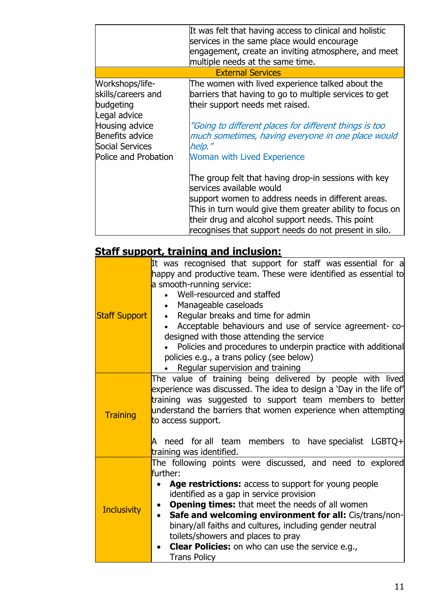|                                                                                                                                                    | It was felt that having access to clinical and holistic<br>services in the same place would encourage<br>engagement, create an inviting atmosphere, and meet<br>multiple needs at the same time.                                                                                                                |
|----------------------------------------------------------------------------------------------------------------------------------------------------|-----------------------------------------------------------------------------------------------------------------------------------------------------------------------------------------------------------------------------------------------------------------------------------------------------------------|
|                                                                                                                                                    | <b>External Services</b>                                                                                                                                                                                                                                                                                        |
| Workshops/life-<br>skills/careers and<br>budgeting<br>Legal advice<br>Housing advice<br>Benefits advice<br>Social Services<br>Police and Probation | The women with lived experience talked about the<br>barriers that having to go to multiple services to get<br>their support needs met raised.<br>"Going to different places for different things is too<br>much sometimes, having everyone in one place would<br>help."<br><b>Woman with Lived Experience</b>   |
|                                                                                                                                                    | The group felt that having drop-in sessions with key<br>services available would<br>support women to address needs in different areas.<br>This in turn would give them greater ability to focus on<br>their drug and alcohol support needs. This point<br>recognises that support needs do not present in silo. |

# **Staff support, training and inclusion:**

|                      | It was recognised that support for staff was essential for a<br>happy and productive team. These were identified as essential to<br>a smooth-running service:<br>Well-resourced and staffed                                                                                                                                                                                                                                                                                                                 |
|----------------------|-------------------------------------------------------------------------------------------------------------------------------------------------------------------------------------------------------------------------------------------------------------------------------------------------------------------------------------------------------------------------------------------------------------------------------------------------------------------------------------------------------------|
| <b>Staff Support</b> | Manageable caseloads<br>Regular breaks and time for admin<br>$\bullet$<br>Acceptable behaviours and use of service agreement-co-<br>designed with those attending the service<br>Policies and procedures to underpin practice with additional<br>policies e.g., a trans policy (see below)<br>Regular supervision and training                                                                                                                                                                              |
| <b>Training</b>      | The value of training being delivered by people with lived<br>experience was discussed. The idea to design a 'Day in the life of'<br>training was suggested to support team members to better<br>understand the barriers that women experience when attempting<br>to access support.<br>A need for all team members to have-specialist LGBTQ+<br>training was identified.                                                                                                                                   |
| <b>Inclusivity</b>   | The following points were discussed, and need to explored<br>further:<br>Age restrictions: access to support for young people<br>identified as a gap in service provision<br><b>Opening times:</b> that meet the needs of all women<br>$\bullet$<br>Safe and welcoming environment for all: Cis/trans/non-<br>binary/all faiths and cultures, including gender neutral<br>toilets/showers and places to pray<br><b>Clear Policies:</b> on who can use the service e.g.,<br>$\bullet$<br><b>Trans Policy</b> |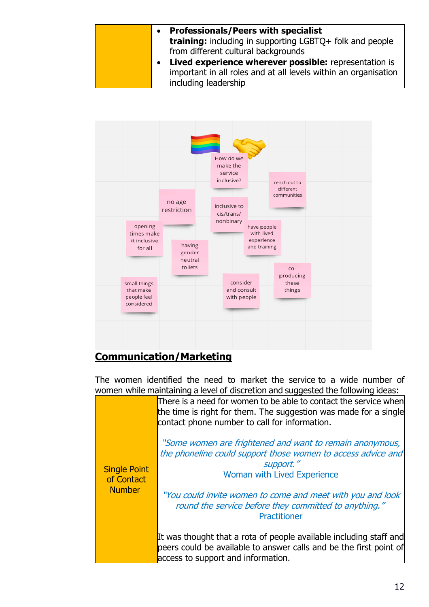



# **Communication/Marketing**

The women identified the need to market the service to a wide number of women while maintaining a level of discretion and suggested the following ideas:

|                                   | <u>romen mine maintaining a level or aberction and baggebted the rolloming lacab.</u>                                                                                                 |
|-----------------------------------|---------------------------------------------------------------------------------------------------------------------------------------------------------------------------------------|
|                                   | There is a need for women to be able to contact the service when<br>the time is right for them. The suggestion was made for a single<br>contact phone number to call for information. |
| <b>Single Point</b><br>of Contact | "Some women are frightened and want to remain anonymous,<br>the phoneline could support those women to access advice and<br>support."<br><b>Woman with Lived Experience</b>           |
| <b>Number</b>                     | "You could invite women to come and meet with you and look<br>round the service before they committed to anything."<br>Practitioner                                                   |
|                                   | It was thought that a rota of people available including staff and<br>peers could be available to answer calls and be the first point of<br>access to support and information.        |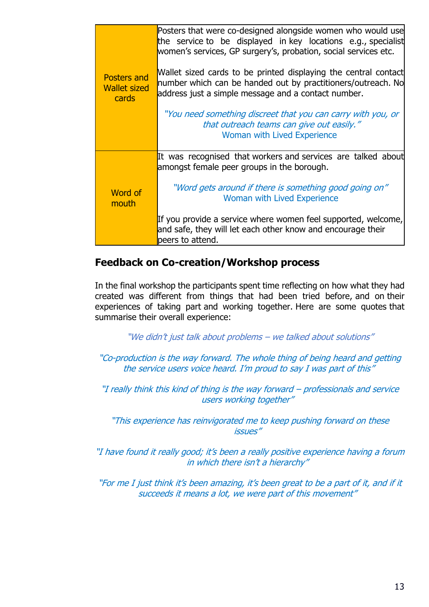|                                                    | Posters that were co-designed alongside women who would use<br>the service to be displayed in key locations e.g., specialist<br>women's services, GP surgery's, probation, social services etc. |
|----------------------------------------------------|-------------------------------------------------------------------------------------------------------------------------------------------------------------------------------------------------|
| <b>Posters and</b><br><b>Wallet sized</b><br>cards | Wallet sized cards to be printed displaying the central contact<br>number which can be handed out by practitioners/outreach. No<br>address just a simple message and a contact number.          |
|                                                    | "You need something discreet that you can carry with you, or<br>that outreach teams can give out easily."<br><b>Woman with Lived Experience</b>                                                 |
|                                                    | It was recognised that workers and services are talked about<br>amongst female peer groups in the borough.                                                                                      |
| Word of<br>mouth                                   | "Word gets around if there is something good going on"<br>Woman with Lived Experience                                                                                                           |
|                                                    | If you provide a service where women feel supported, welcome,<br>and safe, they will let each other know and encourage their<br>peers to attend.                                                |

### **Feedback on Co-creation/Workshop process**

In the final workshop the participants spent time reflecting on how what they had created was different from things that had been tried before, and on their experiences of taking part and working together. Here are some quotes that summarise their overall experience:

"We didn't just talk about problems – we talked about solutions"

"Co-production is the way forward. The whole thing of being heard and getting the service users voice heard. I'm proud to say I was part of this"

"I really think this kind of thing is the way forward – professionals and service users working together"

"This experience has reinvigorated me to keep pushing forward on these issues"

"I have found it really good; it's been a really positive experience having a forum in which there isn't a hierarchy"

"For me I just think it's been amazing, it's been great to be a part of it, and if it succeeds it means a lot, we were part of this movement"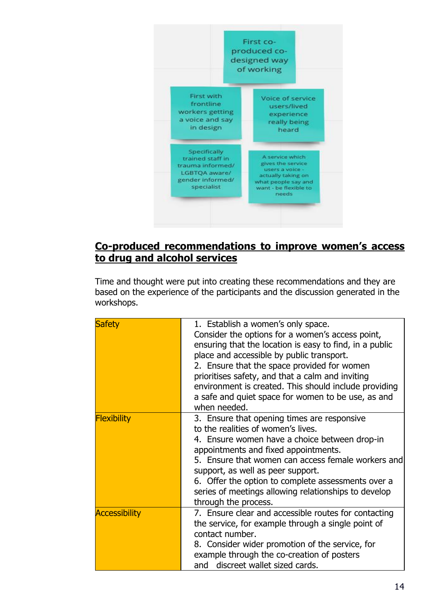

# **Co-produced recommendations to improve women's access to drug and alcohol services**

Time and thought were put into creating these recommendations and they are based on the experience of the participants and the discussion generated in the workshops.

| <b>Safety</b>        | 1. Establish a women's only space.<br>Consider the options for a women's access point,<br>ensuring that the location is easy to find, in a public<br>place and accessible by public transport.<br>2. Ensure that the space provided for women<br>prioritises safety, and that a calm and inviting<br>environment is created. This should include providing<br>a safe and quiet space for women to be use, as and<br>when needed. |
|----------------------|----------------------------------------------------------------------------------------------------------------------------------------------------------------------------------------------------------------------------------------------------------------------------------------------------------------------------------------------------------------------------------------------------------------------------------|
| <b>Flexibility</b>   | 3. Ensure that opening times are responsive<br>to the realities of women's lives.<br>4. Ensure women have a choice between drop-in<br>appointments and fixed appointments.<br>5. Ensure that women can access female workers and<br>support, as well as peer support.<br>6. Offer the option to complete assessments over a<br>series of meetings allowing relationships to develop<br>through the process.                      |
| <b>Accessibility</b> | 7. Ensure clear and accessible routes for contacting<br>the service, for example through a single point of<br>contact number.<br>8. Consider wider promotion of the service, for<br>example through the co-creation of posters<br>and discreet wallet sized cards.                                                                                                                                                               |